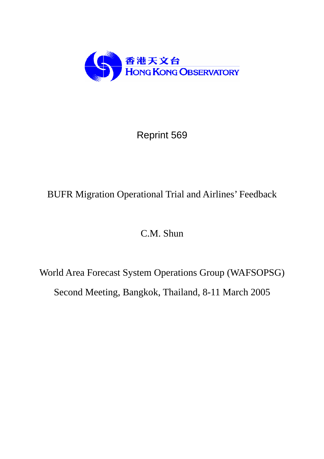

Reprint 569

# BUFR Migration Operational Trial and Airlines' Feedback

# C.M. Shun

World Area Forecast System Operations Group (WAFSOPSG) Second Meeting, Bangkok, Thailand, 8-11 March 2005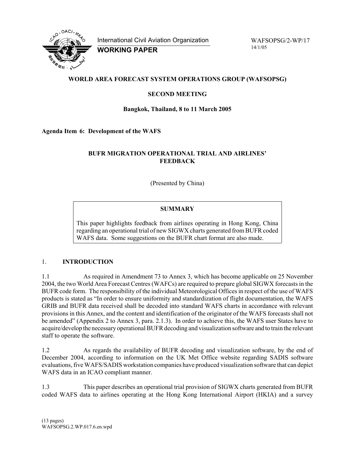

International Civil Aviation Organization

**WORKING PAPER** 

WAFSOPSG/2-WP/17 14/1/05

## **WORLD AREA FORECAST SYSTEM OPERATIONS GROUP (WAFSOPSG)**

### **SECOND MEETING**

#### **Bangkok, Thailand, 8 to 11 March 2005**

#### **Agenda Item 6: Development of the WAFS**

#### **BUFR MIGRATION OPERATIONAL TRIAL AND AIRLINES' FEEDBACK**

(Presented by China)

## **SUMMARY**

This paper highlights feedback from airlines operating in Hong Kong, China regarding an operational trial of new SIGWX charts generated from BUFR coded WAFS data. Some suggestions on the BUFR chart format are also made.

#### 1. **INTRODUCTION**

1.1 As required in Amendment 73 to Annex 3, which has become applicable on 25 November 2004, the two World Area Forecast Centres (WAFCs) are required to prepare global SIGWX forecasts in the BUFR code form. The responsibility of the individual Meteorological Offices in respect of the use of WAFS products is stated as "In order to ensure uniformity and standardization of flight documentation, the WAFS GRIB and BUFR data received shall be decoded into standard WAFS charts in accordance with relevant provisions in this Annex, and the content and identification of the originator of the WAFS forecasts shall not be amended" (Appendix 2 to Annex 3, para. 2.1.3). In order to achieve this, the WAFS user States have to acquire/develop the necessary operational BUFR decoding and visualization software and to train the relevant staff to operate the software.

1.2 As regards the availability of BUFR decoding and visualization software, by the end of December 2004, according to information on the UK Met Office website regarding SADIS software evaluations, five WAFS/SADIS workstation companies have produced visualization software that can depict WAFS data in an ICAO compliant manner.

1.3 This paper describes an operational trial provision of SIGWX charts generated from BUFR coded WAFS data to airlines operating at the Hong Kong International Airport (HKIA) and a survey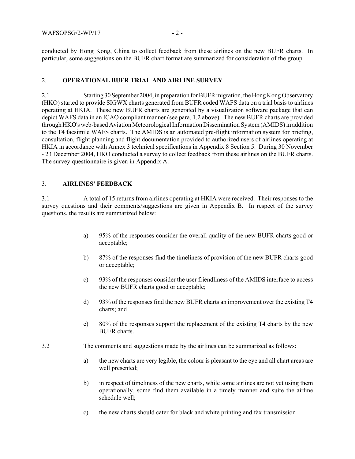conducted by Hong Kong, China to collect feedback from these airlines on the new BUFR charts. In particular, some suggestions on the BUFR chart format are summarized for consideration of the group.

#### 2. **OPERATIONAL BUFR TRIAL AND AIRLINE SURVEY**

2.1 Starting 30 September 2004, in preparation for BUFR migration, the Hong Kong Observatory (HKO) started to provide SIGWX charts generated from BUFR coded WAFS data on a trial basis to airlines operating at HKIA. These new BUFR charts are generated by a visualization software package that can depict WAFS data in an ICAO compliant manner (see para. 1.2 above). The new BUFR charts are provided through HKO's web-based Aviation Meteorological Information Dissemination System (AMIDS) in addition to the T4 facsimile WAFS charts. The AMIDS is an automated pre-flight information system for briefing, consultation, flight planning and flight documentation provided to authorized users of airlines operating at HKIA in accordance with Annex 3 technical specifications in Appendix 8 Section 5. During 30 November - 23 December 2004, HKO conducted a survey to collect feedback from these airlines on the BUFR charts. The survey questionnaire is given in Appendix A.

#### 3. **AIRLINES' FEEDBACK**

3.1 A total of 15 returns from airlines operating at HKIA were received. Their responses to the survey questions and their comments/suggestions are given in Appendix B. In respect of the survey questions, the results are summarized below:

- a) 95% of the responses consider the overall quality of the new BUFR charts good or acceptable;
- b) 87% of the responses find the timeliness of provision of the new BUFR charts good or acceptable;
- c) 93% of the responses consider the user friendliness of the AMIDS interface to access the new BUFR charts good or acceptable;
- d) 93% of the responses find the new BUFR charts an improvement over the existing T4 charts; and
- e) 80% of the responses support the replacement of the existing T4 charts by the new BUFR charts.
- 3.2 The comments and suggestions made by the airlines can be summarized as follows:
	- a) the new charts are very legible, the colour is pleasant to the eye and all chart areas are well presented;
	- b) in respect of timeliness of the new charts, while some airlines are not yet using them operationally, some find them available in a timely manner and suite the airline schedule well;
	- c) the new charts should cater for black and white printing and fax transmission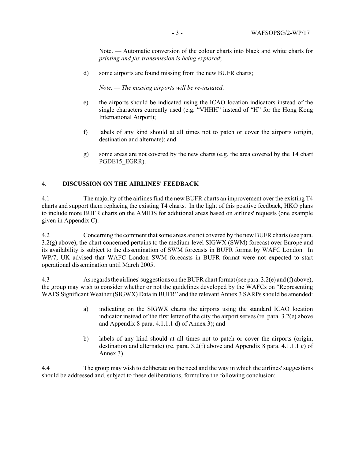Note. — Automatic conversion of the colour charts into black and white charts for *printing and fax transmission is being explored*;

d) some airports are found missing from the new BUFR charts;

*Note. — The missing airports will be re-instated*.

- e) the airports should be indicated using the ICAO location indicators instead of the single characters currently used (e.g. "VHHH" instead of "H" for the Hong Kong International Airport);
- f) labels of any kind should at all times not to patch or cover the airports (origin, destination and alternate); and
- g) some areas are not covered by the new charts (e.g. the area covered by the T4 chart PGDE15\_EGRR).

#### 4. **DISCUSSION ON THE AIRLINES' FEEDBACK**

4.1 The majority of the airlines find the new BUFR charts an improvement over the existing T4 charts and support them replacing the existing T4 charts. In the light of this positive feedback, HKO plans to include more BUFR charts on the AMIDS for additional areas based on airlines' requests (one example given in Appendix C).

4.2 Concerning the comment that some areas are not covered by the new BUFR charts (see para. 3.2(g) above), the chart concerned pertains to the medium-level SIGWX (SWM) forecast over Europe and its availability is subject to the dissemination of SWM forecasts in BUFR format by WAFC London. In WP/7, UK advised that WAFC London SWM forecasts in BUFR format were not expected to start operational dissemination until March 2005.

4.3 As regards the airlines' suggestions on the BUFR chart format (see para. 3.2(e) and (f) above), the group may wish to consider whether or not the guidelines developed by the WAFCs on "Representing WAFS Significant Weather (SIGWX) Data in BUFR" and the relevant Annex 3 SARPs should be amended:

- a) indicating on the SIGWX charts the airports using the standard ICAO location indicator instead of the first letter of the city the airport serves (re. para. 3.2(e) above and Appendix 8 para. 4.1.1.1 d) of Annex 3); and
- b) labels of any kind should at all times not to patch or cover the airports (origin, destination and alternate) (re. para. 3.2(f) above and Appendix 8 para. 4.1.1.1 c) of Annex 3).

4.4 The group may wish to deliberate on the need and the way in which the airlines' suggestions should be addressed and, subject to these deliberations, formulate the following conclusion: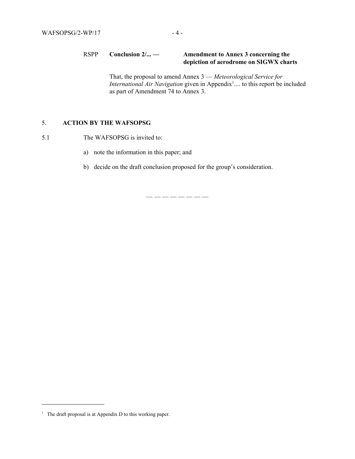#### RSPP **Conclusion 2/... — Amendment to Annex 3 concerning the depiction of aerodrome on SIGWX charts**

That, the proposal to amend Annex 3 — *Meteorological Service for International Air Navigation* given in Appendix<sup>1</sup>.... to this report be included as part of Amendment 74 to Annex 3.

### 5. **ACTION BY THE WAFSOPSG**

- 5.1 The WAFSOPSG is invited to:
	- a) note the information in this paper; and
	- b) decide on the draft conclusion proposed for the group's consideration.

— — — — — — — —

<sup>&</sup>lt;sup>1</sup> The draft proposal is at Appendix D to this working paper.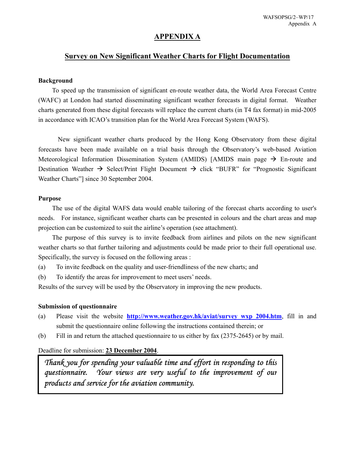# **APPENDIX A**

# **Survey on New Significant Weather Charts for Flight Documentation**

#### **Background**

 To speed up the transmission of significant en-route weather data, the World Area Forecast Centre (WAFC) at London had started disseminating significant weather forecasts in digital format. Weather charts generated from these digital forecasts will replace the current charts (in T4 fax format) in mid-2005 in accordance with ICAO's transition plan for the World Area Forecast System (WAFS).

 New significant weather charts produced by the Hong Kong Observatory from these digital forecasts have been made available on a trial basis through the Observatory's web-based Aviation Meteorological Information Dissemination System (AMIDS) [AMIDS main page  $\rightarrow$  En-route and Destination Weather  $\rightarrow$  Select/Print Flight Document  $\rightarrow$  click "BUFR" for "Prognostic Significant Weather Charts"] since 30 September 2004.

#### **Purpose**

The use of the digital WAFS data would enable tailoring of the forecast charts according to user's needs. For instance, significant weather charts can be presented in colours and the chart areas and map projection can be customized to suit the airline's operation (see attachment).

The purpose of this survey is to invite feedback from airlines and pilots on the new significant weather charts so that further tailoring and adjustments could be made prior to their full operational use. Specifically, the survey is focused on the following areas :

(a) To invite feedback on the quality and user-friendliness of the new charts; and

(b) To identify the areas for improvement to meet users' needs.

Results of the survey will be used by the Observatory in improving the new products.

#### **Submission of questionnaire**

- (a) Please visit the website **http://www.weather.gov.hk/aviat/survey\_wxp\_2004.htm**, fill in and submit the questionnaire online following the instructions contained therein; or
- (b) Fill in and return the attached questionnaire to us either by fax (2375-2645) or by mail.

#### Deadline for submission: **23 December 2004**.

*Thank you for spending your valuable time and effort in responding to this questionnaire. Your views are very useful to the improvement of our products and service for the aviation community.*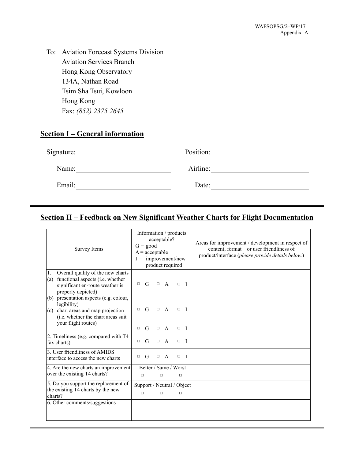To: Aviation Forecast Systems Division Aviation Services Branch Hong Kong Observatory 134A, Nathan Road Tsim Sha Tsui, Kowloon Hong Kong Fax: *(852) 2375 2645* 

# **Section I – General information**

| Signature: | Position: |  |
|------------|-----------|--|
| Name:      | Airline:  |  |
| Email:     | Date:     |  |

# **Section II – Feedback on New Significant Weather Charts for Flight Documentation**

| Survey Items                                                                                                                                                                       | $G = good$<br>$A = acceptable$<br>$I =$ improvement/new | acceptable?<br>product required |                              | Information / products               | Areas for improvement / development in respect of<br>content, format or user friendliness of<br>product/interface (please provide details below.) |
|------------------------------------------------------------------------------------------------------------------------------------------------------------------------------------|---------------------------------------------------------|---------------------------------|------------------------------|--------------------------------------|---------------------------------------------------------------------------------------------------------------------------------------------------|
| Overall quality of the new charts<br>1.<br>(a) functional aspects (i.e. whether<br>significant en-route weather is<br>properly depicted)<br>(b) presentation aspects (e.g. colour, | G<br>$\Box$                                             |                                 | $\Box$ A                     | $\Box$<br>$\blacksquare$             |                                                                                                                                                   |
| legibility)<br>(c) chart areas and map projection<br>(i.e. whether the chart areas suit<br>your flight routes)                                                                     | G<br>□<br>G<br>$\Box$                                   | $\Box$<br>$\Box$                | $\mathbf{A}$<br>$\mathbf{A}$ | $\Box$<br>$\mathbf{I}$<br>$\Box$ I   |                                                                                                                                                   |
| 2. Timeliness (e.g. compared with T4<br>fax charts)                                                                                                                                | G<br>□                                                  | $\Box$                          | A                            | $\Box$<br>$\mathbf{I}$               |                                                                                                                                                   |
| 3. User friendliness of AMIDS<br>interface to access the new charts                                                                                                                | G<br>$\Box$                                             | $\Box$                          | $\mathsf{A}$                 | $\mathbf{I}$<br>$\Box$               |                                                                                                                                                   |
| 4. Are the new charts an improvement<br>over the existing T4 charts?                                                                                                               | п                                                       | п                               |                              | Better / Same / Worst<br>п           |                                                                                                                                                   |
| 5. Do you support the replacement of<br>the existing T4 charts by the new<br>charts?                                                                                               | $\Box$                                                  | $\Box$                          |                              | Support / Neutral / Object<br>$\Box$ |                                                                                                                                                   |
| 6. Other comments/suggestions                                                                                                                                                      |                                                         |                                 |                              |                                      |                                                                                                                                                   |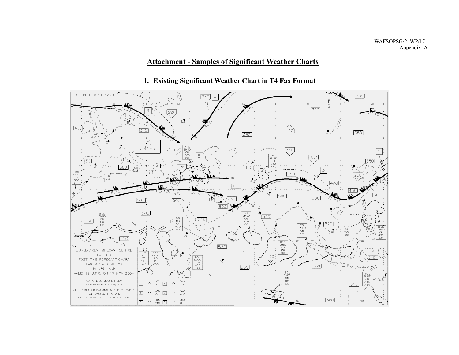WAFSOPSG/2–WP/17 Appendix A

# **Attachment - Samples of Significant Weather Charts**



# **1. Existing Significant Weather Chart in T4 Fax Format**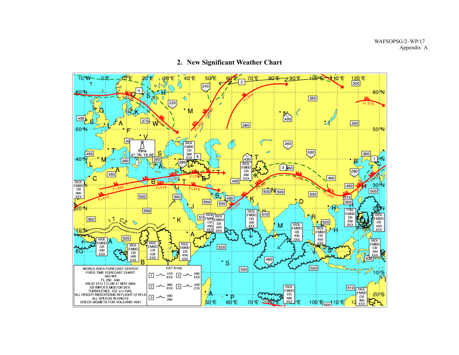

# **2. New Significant Weather Chart**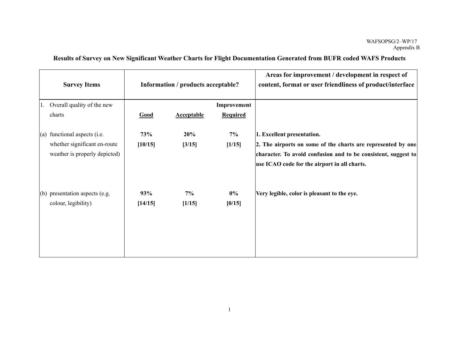|  |  | Results of Survey on New Significant Weather Charts for Flight Documentation Generated from BUFR coded WAFS Products |
|--|--|----------------------------------------------------------------------------------------------------------------------|
|  |  |                                                                                                                      |

|    | <b>Survey Items</b>              |         | Information / products acceptable? |                 | Areas for improvement / development in respect of<br>content, format or user friendliness of product/interface |
|----|----------------------------------|---------|------------------------------------|-----------------|----------------------------------------------------------------------------------------------------------------|
| 1. | Overall quality of the new       |         |                                    | Improvement     |                                                                                                                |
|    | charts                           | Good    | <b>Acceptable</b>                  | <b>Required</b> |                                                                                                                |
|    | $(a)$ functional aspects (i.e.   | 73%     | 20%                                | 7%              | 1. Excellent presentation.                                                                                     |
|    | whether significant en-route     | [10/15] | [3/15]                             | [1/15]          | 2. The airports on some of the charts are represented by one                                                   |
|    | weather is properly depicted)    |         |                                    |                 | character. To avoid confusion and to be consistent, suggest to                                                 |
|    |                                  |         |                                    |                 | use ICAO code for the airport in all charts.                                                                   |
|    | $(b)$ presentation aspects (e.g. | 93%     | 7%                                 | $0\%$           | Very legible, color is pleasant to the eye.                                                                    |
|    | colour, legibility)              | [14/15] | [1/15]                             | [0/15]          |                                                                                                                |
|    |                                  |         |                                    |                 |                                                                                                                |
|    |                                  |         |                                    |                 |                                                                                                                |
|    |                                  |         |                                    |                 |                                                                                                                |
|    |                                  |         |                                    |                 |                                                                                                                |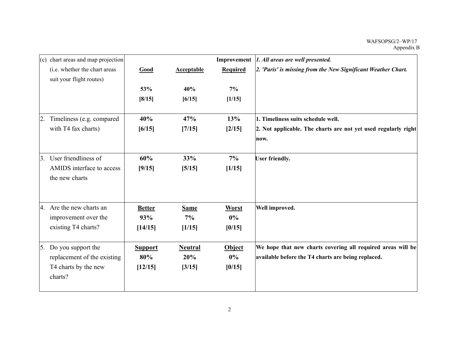|    | (c) chart areas and map projection |                |                   |                 | Improvement   1. All areas are well presented.                 |
|----|------------------------------------|----------------|-------------------|-----------------|----------------------------------------------------------------|
|    | (i.e. whether the chart areas      | Good           | <b>Acceptable</b> | <b>Required</b> | 2. 'Paris' is missing from the New Significant Weather Chart.  |
|    | suit your flight routes)           |                |                   |                 |                                                                |
|    |                                    | 53%            | 40%               | 7%              |                                                                |
|    |                                    | [8/15]         | [6/15]            | [1/15]          |                                                                |
|    |                                    |                |                   |                 |                                                                |
| 2. | Timeliness (e.g. compared          | 40%            | 47%               | 13%             | 1. Timeliness suits schedule well.                             |
|    | with T4 fax charts)                | [6/15]         | [7/15]            | [2/15]          | 2. Not applicable. The charts are not yet used regularly right |
|    |                                    |                |                   |                 | now.                                                           |
| 3. | User friendliness of               | 60%            | 33%               | 7%              | <b>User friendly.</b>                                          |
|    | AMIDS interface to access          | [9/15]         | [5/15]            | [1/15]          |                                                                |
|    | the new charts                     |                |                   |                 |                                                                |
|    |                                    |                |                   |                 |                                                                |
|    | 4. Are the new charts an           | <b>Better</b>  | <b>Same</b>       | Worst           | Well improved.                                                 |
|    | improvement over the               | 93%            | 7%                | $0\%$           |                                                                |
|    | existing T4 charts?                | [14/15]        | [1/15]            | [0/15]          |                                                                |
| 5. | Do you support the                 | <b>Support</b> | <b>Neutral</b>    | Object          | We hope that new charts covering all required areas will be    |
|    | replacement of the existing        | 80%            | 20%               | $0\%$           | available before the T4 charts are being replaced.             |
|    | T4 charts by the new               | [12/15]        | [3/15]            | [0/15]          |                                                                |
|    | charts?                            |                |                   |                 |                                                                |
|    |                                    |                |                   |                 |                                                                |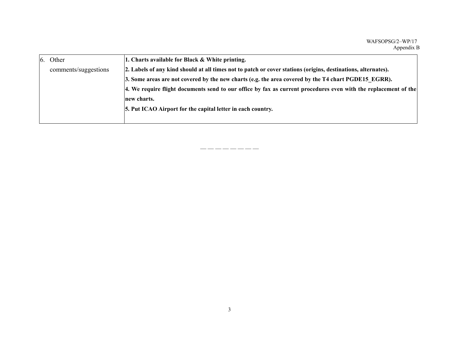| 6. | Other                | 1. Charts available for Black & White printing.                                                                 |
|----|----------------------|-----------------------------------------------------------------------------------------------------------------|
|    | comments/suggestions | 2. Labels of any kind should at all times not to patch or cover stations (origins, destinations, alternates).   |
|    |                      | 3. Some areas are not covered by the new charts (e.g. the area covered by the T4 chart PGDE15 EGRR).            |
|    |                      | 4. We require flight documents send to our office by fax as current procedures even with the replacement of the |
|    |                      | new charts.                                                                                                     |
|    |                      | 5. Put ICAO Airport for the capital letter in each country.                                                     |
|    |                      |                                                                                                                 |

— — — — — — — —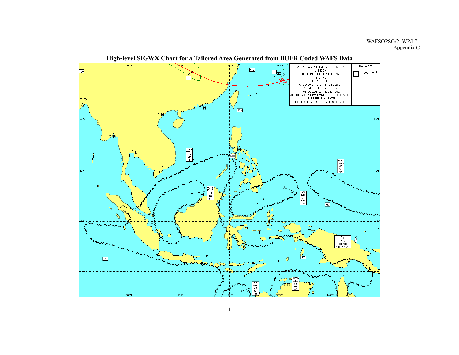